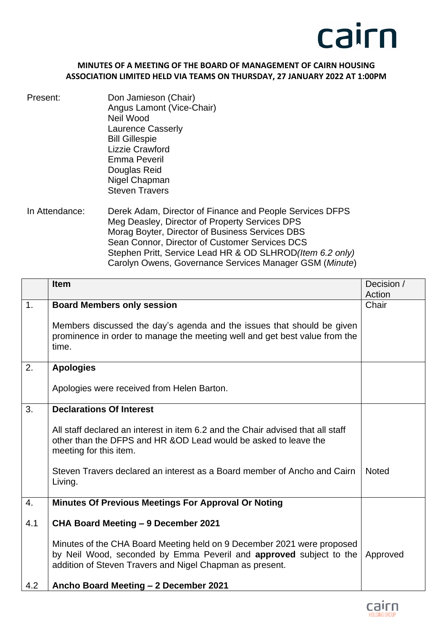

## **MINUTES OF A MEETING OF THE BOARD OF MANAGEMENT OF CAIRN HOUSING ASSOCIATION LIMITED HELD VIA TEAMS ON THURSDAY, 27 JANUARY 2022 AT 1:00PM**

- Present: Don Jamieson (Chair) Angus Lamont (Vice-Chair) Neil Wood Laurence Casserly Bill Gillespie Lizzie Crawford Emma Peveril Douglas Reid Nigel Chapman Steven Travers
- In Attendance: Derek Adam, Director of Finance and People Services DFPS Meg Deasley, Director of Property Services DPS Morag Boyter, Director of Business Services DBS Sean Connor, Director of Customer Services DCS Stephen Pritt, Service Lead HR & OD SLHROD*(Item 6.2 only)* Carolyn Owens, Governance Services Manager GSM (*Minute*)

|     | <b>Item</b>                                                                                                                                                                                              | Decision /   |
|-----|----------------------------------------------------------------------------------------------------------------------------------------------------------------------------------------------------------|--------------|
|     |                                                                                                                                                                                                          | Action       |
| 1.  | <b>Board Members only session</b><br>Members discussed the day's agenda and the issues that should be given<br>prominence in order to manage the meeting well and get best value from the<br>time.       | Chair        |
|     |                                                                                                                                                                                                          |              |
| 2.  | <b>Apologies</b>                                                                                                                                                                                         |              |
|     | Apologies were received from Helen Barton.                                                                                                                                                               |              |
| 3.  | <b>Declarations Of Interest</b>                                                                                                                                                                          |              |
|     | All staff declared an interest in item 6.2 and the Chair advised that all staff<br>other than the DFPS and HR &OD Lead would be asked to leave the<br>meeting for this item.                             |              |
|     | Steven Travers declared an interest as a Board member of Ancho and Cairn<br>Living.                                                                                                                      | <b>Noted</b> |
| 4.  | <b>Minutes Of Previous Meetings For Approval Or Noting</b>                                                                                                                                               |              |
| 4.1 | CHA Board Meeting - 9 December 2021                                                                                                                                                                      |              |
|     | Minutes of the CHA Board Meeting held on 9 December 2021 were proposed<br>by Neil Wood, seconded by Emma Peveril and approved subject to the<br>addition of Steven Travers and Nigel Chapman as present. | Approved     |
| 4.2 | Ancho Board Meeting - 2 December 2021                                                                                                                                                                    |              |

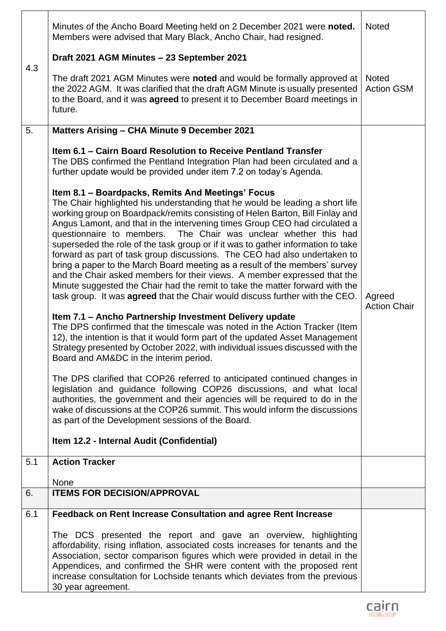|     | Minutes of the Ancho Board Meeting held on 2 December 2021 were noted.<br>Members were advised that Mary Black, Ancho Chair, had resigned.                                                                                                                                                                                                                                                                                                                                                                                                                                                                                                                                                                                                                                                                                                                               | <b>Noted</b>                  |
|-----|--------------------------------------------------------------------------------------------------------------------------------------------------------------------------------------------------------------------------------------------------------------------------------------------------------------------------------------------------------------------------------------------------------------------------------------------------------------------------------------------------------------------------------------------------------------------------------------------------------------------------------------------------------------------------------------------------------------------------------------------------------------------------------------------------------------------------------------------------------------------------|-------------------------------|
| 4.3 | Draft 2021 AGM Minutes - 23 September 2021                                                                                                                                                                                                                                                                                                                                                                                                                                                                                                                                                                                                                                                                                                                                                                                                                               | <b>Noted</b>                  |
|     | The draft 2021 AGM Minutes were noted and would be formally approved at<br>the 2022 AGM. It was clarified that the draft AGM Minute is usually presented<br>to the Board, and it was <b>agreed</b> to present it to December Board meetings in<br>future.                                                                                                                                                                                                                                                                                                                                                                                                                                                                                                                                                                                                                | <b>Action GSM</b>             |
| 5.  | Matters Arising - CHA Minute 9 December 2021                                                                                                                                                                                                                                                                                                                                                                                                                                                                                                                                                                                                                                                                                                                                                                                                                             |                               |
|     | Item 6.1 - Cairn Board Resolution to Receive Pentland Transfer<br>The DBS confirmed the Pentland Integration Plan had been circulated and a<br>further update would be provided under item 7.2 on today's Agenda.                                                                                                                                                                                                                                                                                                                                                                                                                                                                                                                                                                                                                                                        |                               |
|     | Item 8.1 - Boardpacks, Remits And Meetings' Focus<br>The Chair highlighted his understanding that he would be leading a short life<br>working group on Boardpack/remits consisting of Helen Barton, Bill Finlay and<br>Angus Lamont, and that in the intervening times Group CEO had circulated a<br>questionnaire to members. The Chair was unclear whether this had<br>superseded the role of the task group or if it was to gather information to take<br>forward as part of task group discussions. The CEO had also undertaken to<br>bring a paper to the March Board meeting as a result of the members' survey<br>and the Chair asked members for their views. A member expressed that the<br>Minute suggested the Chair had the remit to take the matter forward with the<br>task group. It was <b>agreed</b> that the Chair would discuss further with the CEO. | Agreed<br><b>Action Chair</b> |
|     | Item 7.1 - Ancho Partnership Investment Delivery update<br>The DPS confirmed that the timescale was noted in the Action Tracker (Item<br>12), the intention is that it would form part of the updated Asset Management<br>Strategy presented by October 2022, with individual issues discussed with the<br>Board and AM&DC in the interim period.                                                                                                                                                                                                                                                                                                                                                                                                                                                                                                                        |                               |
|     | The DPS clarified that COP26 referred to anticipated continued changes in<br>legislation and guidance following COP26 discussions, and what local<br>authorities, the government and their agencies will be required to do in the<br>wake of discussions at the COP26 summit. This would inform the discussions<br>as part of the Development sessions of the Board.                                                                                                                                                                                                                                                                                                                                                                                                                                                                                                     |                               |
|     | Item 12.2 - Internal Audit (Confidential)                                                                                                                                                                                                                                                                                                                                                                                                                                                                                                                                                                                                                                                                                                                                                                                                                                |                               |
| 5.1 | <b>Action Tracker</b>                                                                                                                                                                                                                                                                                                                                                                                                                                                                                                                                                                                                                                                                                                                                                                                                                                                    |                               |
|     | None                                                                                                                                                                                                                                                                                                                                                                                                                                                                                                                                                                                                                                                                                                                                                                                                                                                                     |                               |
| 6.  | <b>ITEMS FOR DECISION/APPROVAL</b>                                                                                                                                                                                                                                                                                                                                                                                                                                                                                                                                                                                                                                                                                                                                                                                                                                       |                               |
| 6.1 | Feedback on Rent Increase Consultation and agree Rent Increase                                                                                                                                                                                                                                                                                                                                                                                                                                                                                                                                                                                                                                                                                                                                                                                                           |                               |
|     | The DCS presented the report and gave an overview, highlighting<br>affordability, rising inflation, associated costs increases for tenants and the<br>Association, sector comparison figures which were provided in detail in the<br>Appendices, and confirmed the SHR were content with the proposed rent<br>increase consultation for Lochside tenants which deviates from the previous<br>30 year agreement.                                                                                                                                                                                                                                                                                                                                                                                                                                                          |                               |

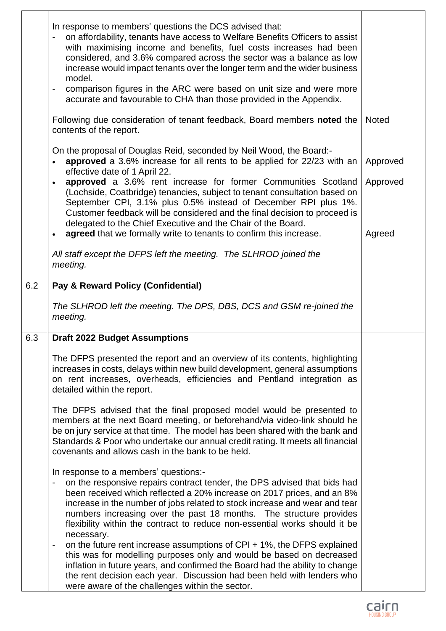|     | In response to members' questions the DCS advised that:<br>on affordability, tenants have access to Welfare Benefits Officers to assist<br>with maximising income and benefits, fuel costs increases had been<br>considered, and 3.6% compared across the sector was a balance as low<br>increase would impact tenants over the longer term and the wider business<br>model.<br>comparison figures in the ARC were based on unit size and were more<br>accurate and favourable to CHA than those provided in the Appendix.                                                                                                                  |                                |
|-----|---------------------------------------------------------------------------------------------------------------------------------------------------------------------------------------------------------------------------------------------------------------------------------------------------------------------------------------------------------------------------------------------------------------------------------------------------------------------------------------------------------------------------------------------------------------------------------------------------------------------------------------------|--------------------------------|
|     | Following due consideration of tenant feedback, Board members noted the<br>contents of the report.                                                                                                                                                                                                                                                                                                                                                                                                                                                                                                                                          | <b>Noted</b>                   |
|     | On the proposal of Douglas Reid, seconded by Neil Wood, the Board:-<br>approved a 3.6% increase for all rents to be applied for 22/23 with an<br>$\bullet$<br>effective date of 1 April 22.<br>approved a 3.6% rent increase for former Communities Scotland<br>$\bullet$<br>(Lochside, Coatbridge) tenancies, subject to tenant consultation based on<br>September CPI, 3.1% plus 0.5% instead of December RPI plus 1%.<br>Customer feedback will be considered and the final decision to proceed is<br>delegated to the Chief Executive and the Chair of the Board.<br>agreed that we formally write to tenants to confirm this increase. | Approved<br>Approved<br>Agreed |
|     | All staff except the DFPS left the meeting. The SLHROD joined the<br>meeting.                                                                                                                                                                                                                                                                                                                                                                                                                                                                                                                                                               |                                |
| 6.2 | Pay & Reward Policy (Confidential)<br>The SLHROD left the meeting. The DPS, DBS, DCS and GSM re-joined the<br>meeting.                                                                                                                                                                                                                                                                                                                                                                                                                                                                                                                      |                                |
| 6.3 | <b>Draft 2022 Budget Assumptions</b>                                                                                                                                                                                                                                                                                                                                                                                                                                                                                                                                                                                                        |                                |
|     | The DFPS presented the report and an overview of its contents, highlighting<br>increases in costs, delays within new build development, general assumptions<br>on rent increases, overheads, efficiencies and Pentland integration as<br>detailed within the report.                                                                                                                                                                                                                                                                                                                                                                        |                                |
|     | The DFPS advised that the final proposed model would be presented to<br>members at the next Board meeting, or beforehand/via video-link should he<br>be on jury service at that time. The model has been shared with the bank and<br>Standards & Poor who undertake our annual credit rating. It meets all financial<br>covenants and allows cash in the bank to be held.                                                                                                                                                                                                                                                                   |                                |
|     | In response to a members' questions:-<br>on the responsive repairs contract tender, the DPS advised that bids had<br>been received which reflected a 20% increase on 2017 prices, and an 8%<br>increase in the number of jobs related to stock increase and wear and tear<br>numbers increasing over the past 18 months. The structure provides<br>flexibility within the contract to reduce non-essential works should it be<br>necessary.                                                                                                                                                                                                 |                                |
|     | on the future rent increase assumptions of $CPI + 1\%$ , the DFPS explained<br>this was for modelling purposes only and would be based on decreased<br>inflation in future years, and confirmed the Board had the ability to change<br>the rent decision each year. Discussion had been held with lenders who<br>were aware of the challenges within the sector.                                                                                                                                                                                                                                                                            |                                |

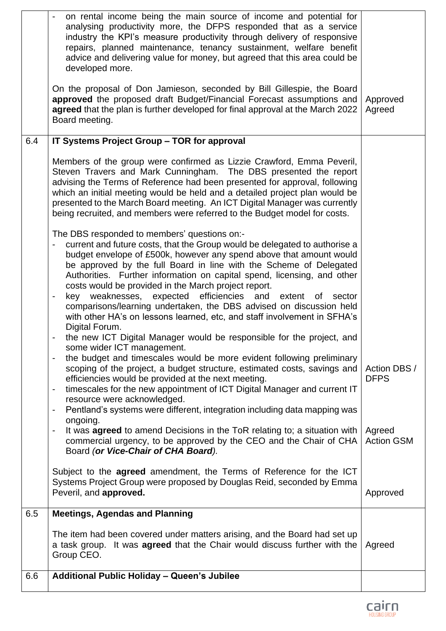|     | on rental income being the main source of income and potential for<br>analysing productivity more, the DFPS responded that as a service<br>industry the KPI's measure productivity through delivery of responsive<br>repairs, planned maintenance, tenancy sustainment, welfare benefit<br>advice and delivering value for money, but agreed that this area could be<br>developed more.<br>On the proposal of Don Jamieson, seconded by Bill Gillespie, the Board<br>approved the proposed draft Budget/Financial Forecast assumptions and<br>agreed that the plan is further developed for final approval at the March 2022<br>Board meeting.                                                                                            | Approved<br>Agreed                                         |
|-----|-------------------------------------------------------------------------------------------------------------------------------------------------------------------------------------------------------------------------------------------------------------------------------------------------------------------------------------------------------------------------------------------------------------------------------------------------------------------------------------------------------------------------------------------------------------------------------------------------------------------------------------------------------------------------------------------------------------------------------------------|------------------------------------------------------------|
| 6.4 | IT Systems Project Group - TOR for approval                                                                                                                                                                                                                                                                                                                                                                                                                                                                                                                                                                                                                                                                                               |                                                            |
|     | Members of the group were confirmed as Lizzie Crawford, Emma Peveril,<br>Steven Travers and Mark Cunningham. The DBS presented the report<br>advising the Terms of Reference had been presented for approval, following<br>which an initial meeting would be held and a detailed project plan would be<br>presented to the March Board meeting. An ICT Digital Manager was currently<br>being recruited, and members were referred to the Budget model for costs.                                                                                                                                                                                                                                                                         |                                                            |
|     | The DBS responded to members' questions on:-<br>current and future costs, that the Group would be delegated to authorise a<br>budget envelope of £500k, however any spend above that amount would<br>be approved by the full Board in line with the Scheme of Delegated<br>Authorities. Further information on capital spend, licensing, and other<br>costs would be provided in the March project report.<br>key weaknesses, expected efficiencies and extent of<br>sector<br>comparisons/learning undertaken, the DBS advised on discussion held<br>with other HA's on lessons learned, etc, and staff involvement in SFHA's<br>Digital Forum.                                                                                          |                                                            |
|     | the new ICT Digital Manager would be responsible for the project, and<br>some wider ICT management.<br>the budget and timescales would be more evident following preliminary<br>scoping of the project, a budget structure, estimated costs, savings and<br>efficiencies would be provided at the next meeting.<br>timescales for the new appointment of ICT Digital Manager and current IT<br>$\overline{\phantom{a}}$<br>resource were acknowledged.<br>Pentland's systems were different, integration including data mapping was<br>$\qquad \qquad \blacksquare$<br>ongoing.<br>It was <b>agreed</b> to amend Decisions in the ToR relating to; a situation with<br>commercial urgency, to be approved by the CEO and the Chair of CHA | Action DBS /<br><b>DFPS</b><br>Agreed<br><b>Action GSM</b> |
|     | Board (or Vice-Chair of CHA Board).<br>Subject to the agreed amendment, the Terms of Reference for the ICT<br>Systems Project Group were proposed by Douglas Reid, seconded by Emma<br>Peveril, and approved.                                                                                                                                                                                                                                                                                                                                                                                                                                                                                                                             | Approved                                                   |
| 6.5 | <b>Meetings, Agendas and Planning</b>                                                                                                                                                                                                                                                                                                                                                                                                                                                                                                                                                                                                                                                                                                     |                                                            |
|     | The item had been covered under matters arising, and the Board had set up<br>a task group. It was <b>agreed</b> that the Chair would discuss further with the<br>Group CEO.                                                                                                                                                                                                                                                                                                                                                                                                                                                                                                                                                               | Agreed                                                     |
| 6.6 | <b>Additional Public Holiday - Queen's Jubilee</b>                                                                                                                                                                                                                                                                                                                                                                                                                                                                                                                                                                                                                                                                                        |                                                            |
|     |                                                                                                                                                                                                                                                                                                                                                                                                                                                                                                                                                                                                                                                                                                                                           |                                                            |

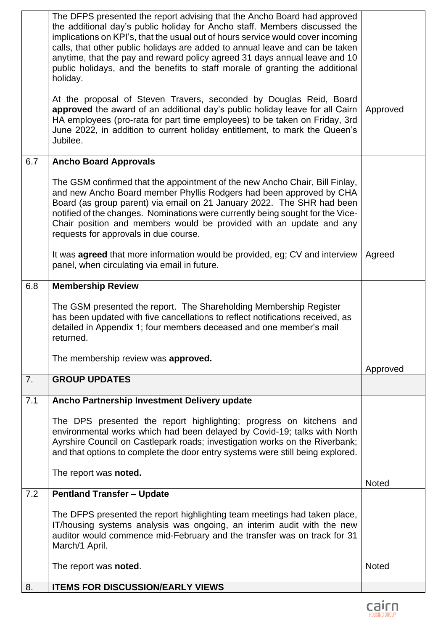|     | The DFPS presented the report advising that the Ancho Board had approved<br>the additional day's public holiday for Ancho staff. Members discussed the<br>implications on KPI's, that the usual out of hours service would cover incoming<br>calls, that other public holidays are added to annual leave and can be taken<br>anytime, that the pay and reward policy agreed 31 days annual leave and 10<br>public holidays, and the benefits to staff morale of granting the additional<br>holiday. |              |
|-----|-----------------------------------------------------------------------------------------------------------------------------------------------------------------------------------------------------------------------------------------------------------------------------------------------------------------------------------------------------------------------------------------------------------------------------------------------------------------------------------------------------|--------------|
|     | At the proposal of Steven Travers, seconded by Douglas Reid, Board<br>approved the award of an additional day's public holiday leave for all Cairn<br>HA employees (pro-rata for part time employees) to be taken on Friday, 3rd<br>June 2022, in addition to current holiday entitlement, to mark the Queen's<br>Jubilee.                                                                                                                                                                          | Approved     |
| 6.7 | <b>Ancho Board Approvals</b>                                                                                                                                                                                                                                                                                                                                                                                                                                                                        |              |
|     | The GSM confirmed that the appointment of the new Ancho Chair, Bill Finlay,<br>and new Ancho Board member Phyllis Rodgers had been approved by CHA<br>Board (as group parent) via email on 21 January 2022. The SHR had been<br>notified of the changes. Nominations were currently being sought for the Vice-<br>Chair position and members would be provided with an update and any<br>requests for approvals in due course.                                                                      |              |
|     | It was <b>agreed</b> that more information would be provided, eg; CV and interview<br>panel, when circulating via email in future.                                                                                                                                                                                                                                                                                                                                                                  | Agreed       |
| 6.8 | <b>Membership Review</b>                                                                                                                                                                                                                                                                                                                                                                                                                                                                            |              |
|     | The GSM presented the report. The Shareholding Membership Register<br>has been updated with five cancellations to reflect notifications received, as<br>detailed in Appendix 1; four members deceased and one member's mail<br>returned.                                                                                                                                                                                                                                                            |              |
|     | The membership review was approved.                                                                                                                                                                                                                                                                                                                                                                                                                                                                 | Approved     |
| 7.  | <b>GROUP UPDATES</b>                                                                                                                                                                                                                                                                                                                                                                                                                                                                                |              |
| 7.1 | Ancho Partnership Investment Delivery update                                                                                                                                                                                                                                                                                                                                                                                                                                                        |              |
|     | The DPS presented the report highlighting; progress on kitchens and<br>environmental works which had been delayed by Covid-19; talks with North<br>Ayrshire Council on Castlepark roads; investigation works on the Riverbank;<br>and that options to complete the door entry systems were still being explored.                                                                                                                                                                                    |              |
|     | The report was noted.                                                                                                                                                                                                                                                                                                                                                                                                                                                                               | <b>Noted</b> |
| 7.2 | <b>Pentland Transfer - Update</b>                                                                                                                                                                                                                                                                                                                                                                                                                                                                   |              |
|     | The DFPS presented the report highlighting team meetings had taken place,<br>IT/housing systems analysis was ongoing, an interim audit with the new<br>auditor would commence mid-February and the transfer was on track for 31<br>March/1 April.                                                                                                                                                                                                                                                   |              |
|     | The report was noted.                                                                                                                                                                                                                                                                                                                                                                                                                                                                               | <b>Noted</b> |
| 8.  | <b>ITEMS FOR DISCUSSION/EARLY VIEWS</b>                                                                                                                                                                                                                                                                                                                                                                                                                                                             |              |

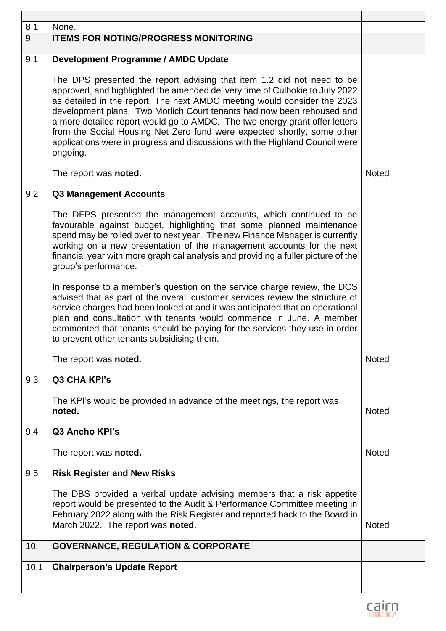| 8.1  | None.                                                                                                                                                                                                                                                                                                                                                                                                                                                                                                                                                              |              |
|------|--------------------------------------------------------------------------------------------------------------------------------------------------------------------------------------------------------------------------------------------------------------------------------------------------------------------------------------------------------------------------------------------------------------------------------------------------------------------------------------------------------------------------------------------------------------------|--------------|
| 9.   | <b>ITEMS FOR NOTING/PROGRESS MONITORING</b>                                                                                                                                                                                                                                                                                                                                                                                                                                                                                                                        |              |
|      |                                                                                                                                                                                                                                                                                                                                                                                                                                                                                                                                                                    |              |
| 9.1  | <b>Development Programme / AMDC Update</b>                                                                                                                                                                                                                                                                                                                                                                                                                                                                                                                         |              |
|      | The DPS presented the report advising that item 1.2 did not need to be<br>approved, and highlighted the amended delivery time of Culbokie to July 2022<br>as detailed in the report. The next AMDC meeting would consider the 2023<br>development plans. Two Morlich Court tenants had now been rehoused and<br>a more detailed report would go to AMDC. The two energy grant offer letters<br>from the Social Housing Net Zero fund were expected shortly, some other<br>applications were in progress and discussions with the Highland Council were<br>ongoing. |              |
|      | The report was noted.                                                                                                                                                                                                                                                                                                                                                                                                                                                                                                                                              | <b>Noted</b> |
| 9.2  | <b>Q3 Management Accounts</b>                                                                                                                                                                                                                                                                                                                                                                                                                                                                                                                                      |              |
|      | The DFPS presented the management accounts, which continued to be<br>favourable against budget, highlighting that some planned maintenance<br>spend may be rolled over to next year. The new Finance Manager is currently<br>working on a new presentation of the management accounts for the next<br>financial year with more graphical analysis and providing a fuller picture of the<br>group's performance.                                                                                                                                                    |              |
|      | In response to a member's question on the service charge review, the DCS<br>advised that as part of the overall customer services review the structure of<br>service charges had been looked at and it was anticipated that an operational<br>plan and consultation with tenants would commence in June. A member<br>commented that tenants should be paying for the services they use in order<br>to prevent other tenants subsidising them.                                                                                                                      |              |
|      | The report was noted.                                                                                                                                                                                                                                                                                                                                                                                                                                                                                                                                              | <b>Noted</b> |
| 9.3  | Q3 CHA KPI's                                                                                                                                                                                                                                                                                                                                                                                                                                                                                                                                                       |              |
|      | The KPI's would be provided in advance of the meetings, the report was<br>noted.                                                                                                                                                                                                                                                                                                                                                                                                                                                                                   | <b>Noted</b> |
| 9.4  | Q3 Ancho KPI's                                                                                                                                                                                                                                                                                                                                                                                                                                                                                                                                                     |              |
|      | The report was noted.                                                                                                                                                                                                                                                                                                                                                                                                                                                                                                                                              | <b>Noted</b> |
| 9.5  | <b>Risk Register and New Risks</b>                                                                                                                                                                                                                                                                                                                                                                                                                                                                                                                                 |              |
|      | The DBS provided a verbal update advising members that a risk appetite<br>report would be presented to the Audit & Performance Committee meeting in<br>February 2022 along with the Risk Register and reported back to the Board in<br>March 2022. The report was noted.                                                                                                                                                                                                                                                                                           | <b>Noted</b> |
| 10.  | <b>GOVERNANCE, REGULATION &amp; CORPORATE</b>                                                                                                                                                                                                                                                                                                                                                                                                                                                                                                                      |              |
| 10.1 | <b>Chairperson's Update Report</b>                                                                                                                                                                                                                                                                                                                                                                                                                                                                                                                                 |              |
|      |                                                                                                                                                                                                                                                                                                                                                                                                                                                                                                                                                                    |              |